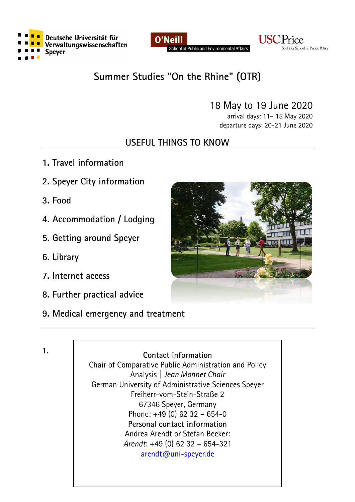





# **Summer Studies "On the Rhine" (OTR)**

# 18 May to 19 June 2020

arrival days: 11– 15 May 2020 departure days: 20-21 June 2020

# **USEFUL THINGS TO KNOW**

- **1. Travel information**
- **2. Speyer City information**
- **3. Food**
- **4. Accommodation / Lodging**
- **5. Getting around Speyer**
- **6. Library**
- **7. Internet access**
- **8. Further practical advice**
- **9. Medical emergency and treatment**



**1. Contact information**

Chair of Comparative Public Administration and Policy Analysis | *Jean Monnet Chair* German University of Administrative Sciences Speyer Freiherr-vom-Stein-Straße 2 67346 Speyer, Germany Phone: +49 (0) 62 32 – 654-0 **Personal contact information** Andrea Arendt or Stefan Becker: *Arendt*: +49 (0) 62 32 – 654-321 [arendt@uni-speyer.de](mailto:arendt@uni-speyer.de)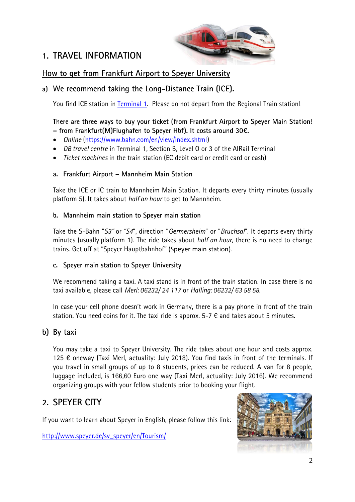# **1. TRAVEL INFORMATION**



### **How to get from Frankfurt Airport to Speyer University**

#### **a) We recommend taking the Long-Distance Train (ICE).**

You find ICE station in [Terminal 1.](https://www.frankfurt-airport.com/content/airport-site/en/infopool/download-center.html#endownloadcenter/tab=endownloadcenter_downloadsattheairport) Please do not depart from the Regional Train station!

#### **There are three ways to buy your ticket (from Frankfurt Airport to Speyer Main Station! – from Frankfurt(M)Flughafen to Speyer Hbf). It costs around 30€.**

- *Online* [\(https://www.bahn.com/en/view/index.shtml\)](https://www.bahn.com/en/view/index.shtml)
- *DB travel centre* in Terminal 1, Section B, Level O or 3 of the AIRail Terminal
- *Ticket machines* in the train station (EC debit card or credit card or cash)

#### **a. Frankfurt Airport – Mannheim Main Station**

Take the ICE or IC train to Mannheim Main Station. It departs every thirty minutes (usually platform 5). It takes about *half an hour* to get to Mannheim.

#### **b. Mannheim main station to Speyer main station**

Take the S-Bahn "*S3"* or *"S4*", direction "*Germersheim*" or "*Bruchsal*". It departs every thirty minutes (usually platform 1). The ride takes about *half an hour*, there is no need to change trains. Get off at "Speyer Hauptbahnhof" (Speyer main station).

#### **c. Speyer main station to Speyer University**

We recommend taking a taxi. A taxi stand is in front of the train station. In case there is no taxi available, please call *Merl: 06232/ 24 117* or *Halling: 06232/ 63 58 58*.

In case your cell phone doesn't work in Germany, there is a pay phone in front of the train station. You need coins for it. The taxi ride is approx.  $5-7 \notin$  and takes about 5 minutes.

#### **b) By taxi**

You may take a taxi to Speyer University. The ride takes about one hour and costs approx. 125 € oneway (Taxi Merl, actuality: July 2018). You find taxis in front of the terminals. If you travel in small groups of up to 8 students, prices can be reduced. A van for 8 people, luggage included, is 166,60 Euro one way (Taxi Merl, actuality: July 2016). We recommend organizing groups with your fellow students prior to booking your flight.

## **2. SPEYER CITY**

If you want to learn about Speyer in English, please follow this link:

[http://www.speyer.de/sv\\_speyer/en/Tourism/](http://www.speyer.de/sv_speyer/en/Tourism/)

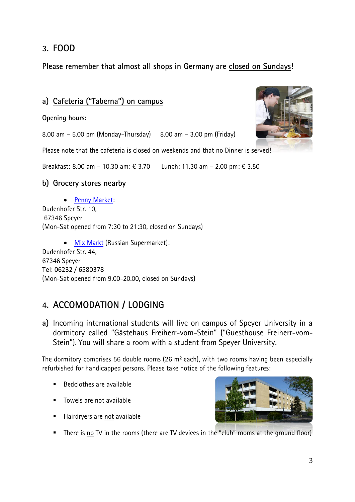## **3. FOOD**

**Please remember that almost all shops in Germany are closed on Sundays!**

### **a) Cafeteria ("Taberna") on campus**

**Opening hours:**

8.00 am – 5.00 pm (Monday-Thursday) 8.00 am – 3.00 pm (Friday)

Please note that the cafeteria is closed on weekends and that no Dinner is served!

Breakfast**:** 8.00 am – 10.30 am: € 3.70 Lunch: 11.30 am – 2.00 pm: € 3.50

#### **b) Grocery stores nearby**

• [Penny Market:](http://www.supermarktcheck.de/supermarkt/62113-penny-markt-speyer/) Dudenhofer Str. 10, 67346 Speyer (Mon-Sat opened from 7:30 to 21:30, closed on Sundays)

• [Mix Markt](https://www.mixmarkt.eu/en/germany/stores/8/) (Russian Supermarket): Dudenhofer Str. 44, 67346 Speyer Tel: 06232 / 6580378 (Mon-Sat opened from 9.00-20.00, closed on Sundays)

## **4. ACCOMODATION / LODGING**

**a)** Incoming international students will live on campus of Speyer University in a dormitory called "Gästehaus Freiherr-vom-Stein" ("Guesthouse Freiherr-vom-Stein"). You will share a room with a student from Speyer University.

The dormitory comprises 56 double rooms (26  $m<sup>2</sup>$  each), with two rooms having been especially refurbished for handicapped persons. Please take notice of the following features:

- $\blacksquare$  Bedclothes are available
- Towels are not available
- Hairdryers are not available
- There is no TV in the rooms (there are TV devices in the "club" rooms at the ground floor)



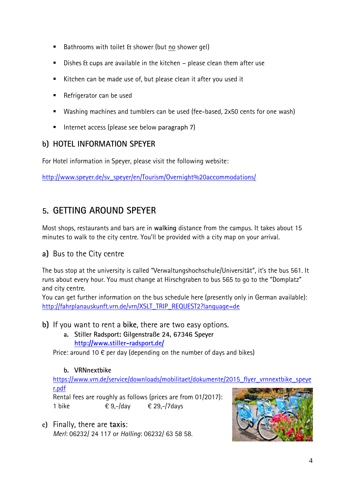- Bathrooms with toilet & shower (but no shower gel)
- Dishes & cups are available in the kitchen please clean them after use
- Kitchen can be made use of, but please clean it after you used it
- Refrigerator can be used
- Washing machines and tumblers can be used (fee-based, 2x50 cents for one wash)
- Internet access (please see below paragraph  $7$ )

### **b) HOTEL INFORMATION SPEYER**

For Hotel information in Speyer, please visit the following website:

[http://www.speyer.de/sv\\_speyer/en/Tourism/Overnight%20accommodations/](http://www.speyer.de/sv_speyer/en/Tourism/Overnight%20accommodations/)

# **5. GETTING AROUND SPEYER**

Most shops, restaurants and bars are in **walking** distance from the campus. It takes about 15 minutes to walk to the city centre. You'll be provided with a city map on your arrival.

### **a)** Bus to the City centre

The bus stop at the university is called "Verwaltungshochschule/Universität", it's the bus 561. It runs about every hour. You must change at Hirschgraben to bus 565 to go to the "Domplatz" and city centre.

You can get further information on the bus schedule here (presently only in German available): [http://fahrplanauskunft.vrn.de/vrn/XSLT\\_TRIP\\_REQUEST2?language=de](http://fahrplanauskunft.vrn.de/vrn/XSLT_TRIP_REQUEST2?language=de)

- **b)** If you want to rent a **bike**, there are two easy options.
	- **a. Stiller Radsport: Gilgenstraße 24, 67346 Speyer <http://www.stiller-radsport.de/>**

Price: around 10  $\epsilon$  per day (depending on the number of days and bikes)

#### **b. VRNnextbike**

[https://www.vrn.de/service/downloads/mobilitaet/dokumente/2015\\_flyer\\_vrnnextbike\\_speye](https://www.vrn.de/service/downloads/mobilitaet/dokumente/2015_flyer_vrnnextbike_speyer.pdf) [r.pdf](https://www.vrn.de/service/downloads/mobilitaet/dokumente/2015_flyer_vrnnextbike_speyer.pdf)

Rental fees are roughly as follows (prices are from 01/2017): 1 bike  $\epsilon$  9,-/day  $\epsilon$  29,-/7days

**c)** Finally, there are **taxis**: *Merl*: 06232/ 24 117 or *Halling*: 06232/ 63 58 58.

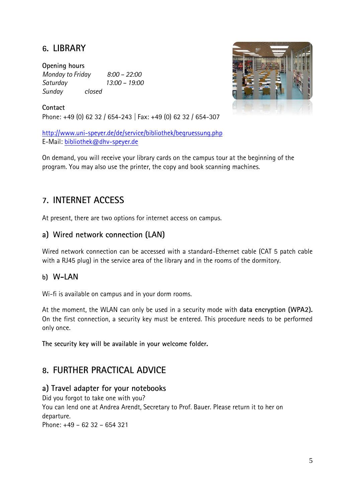# **6. LIBRARY**

**Opening hours** *Monday to Friday 8:00 – 22:00 Saturday 13:00 – 19:00 Sunday closed*



**Contact** Phone: +49 (0) 62 32 / 654-243 | Fax: +49 (0) 62 32 / 654-307

<http://www.uni-speyer.de/de/service/bibliothek/begruessung.php> E-Mail: [bibliothek@dhv-speyer.de](mailto:bibliothek@dhv-speyer.de) 

On demand, you will receive your library cards on the campus tour at the beginning of the program. You may also use the printer, the copy and book scanning machines.

# **7. INTERNET ACCESS**

At present, there are two options for internet access on campus.

### **a) Wired network connection (LAN)**

Wired network connection can be accessed with a standard-Ethernet cable (CAT 5 patch cable with a RJ45 plug) in the service area of the library and in the rooms of the dormitory.

#### **b) W-LAN**

Wi-fi is available on campus and in your dorm rooms.

At the moment, the WLAN can only be used in a security mode with **data encryption (WPA2).** On the first connection, a security key must be entered. This procedure needs to be performed only once.

**The security key will be available in your welcome folder.**

## **8. FURTHER PRACTICAL ADVICE**

#### **a) Travel adapter for your notebooks**

Did you forgot to take one with you?

You can lend one at Andrea Arendt, Secretary to Prof. Bauer. Please return it to her on departure.

Phone: +49 – 62 32 – 654 321